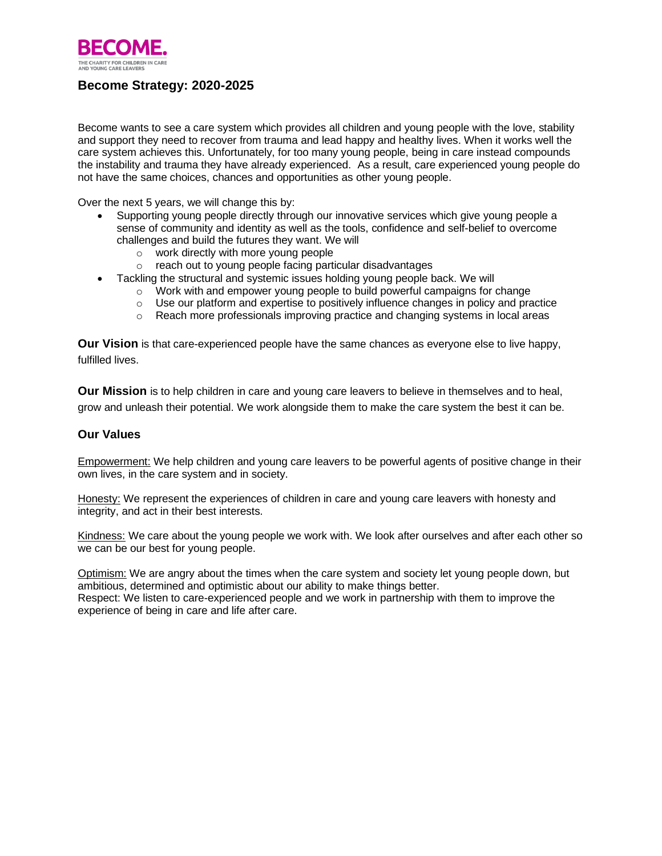

# **Become Strategy: 2020-2025**

Become wants to see a care system which provides all children and young people with the love, stability and support they need to recover from trauma and lead happy and healthy lives. When it works well the care system achieves this. Unfortunately, for too many young people, being in care instead compounds the instability and trauma they have already experienced. As a result, care experienced young people do not have the same choices, chances and opportunities as other young people.

Over the next 5 years, we will change this by:

- Supporting young people directly through our innovative services which give young people a sense of community and identity as well as the tools, confidence and self-belief to overcome challenges and build the futures they want. We will
	- o work directly with more young people
	- o reach out to young people facing particular disadvantages
	- Tackling the structural and systemic issues holding young people back. We will
		- $\circ$  Work with and empower young people to build powerful campaigns for change
		- o Use our platform and expertise to positively influence changes in policy and practice
		- o Reach more professionals improving practice and changing systems in local areas

**Our Vision** is that care-experienced people have the same chances as everyone else to live happy, fulfilled lives.

**Our Mission** is to help children in care and young care leavers to believe in themselves and to heal, grow and unleash their potential. We work alongside them to make the care system the best it can be.

#### **Our Values**

Empowerment: We help children and young care leavers to be powerful agents of positive change in their own lives, in the care system and in society.

Honesty: We represent the experiences of children in care and young care leavers with honesty and integrity, and act in their best interests.

Kindness: We care about the young people we work with. We look after ourselves and after each other so we can be our best for young people.

Optimism: We are angry about the times when the care system and society let young people down, but ambitious, determined and optimistic about our ability to make things better. Respect: We listen to care-experienced people and we work in partnership with them to improve the experience of being in care and life after care.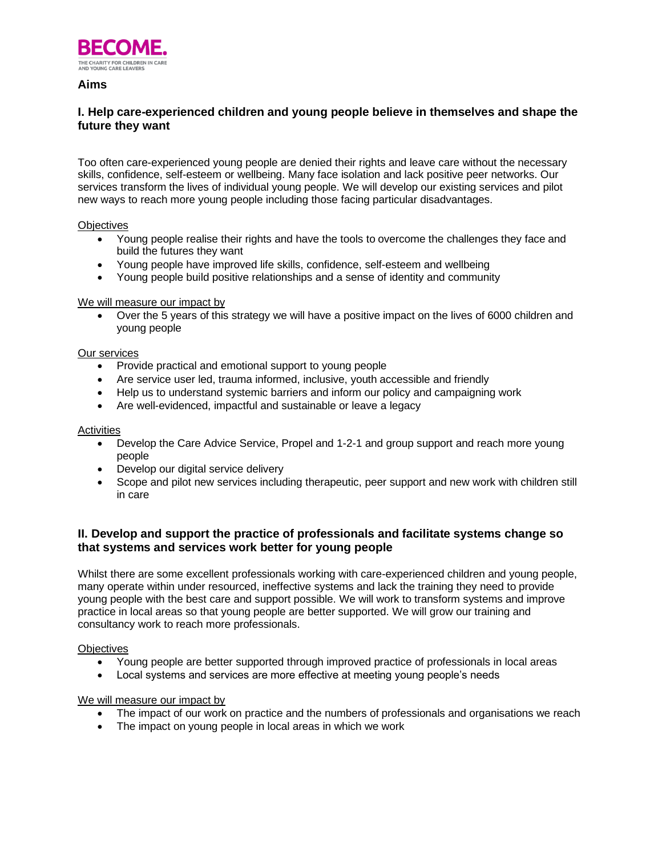

## **Aims**

## **I. Help care-experienced children and young people believe in themselves and shape the future they want**

Too often care-experienced young people are denied their rights and leave care without the necessary skills, confidence, self-esteem or wellbeing. Many face isolation and lack positive peer networks. Our services transform the lives of individual young people. We will develop our existing services and pilot new ways to reach more young people including those facing particular disadvantages.

#### **Objectives**

- Young people realise their rights and have the tools to overcome the challenges they face and build the futures they want
- Young people have improved life skills, confidence, self-esteem and wellbeing
- Young people build positive relationships and a sense of identity and community

### We will measure our impact by

• Over the 5 years of this strategy we will have a positive impact on the lives of 6000 children and young people

#### Our services

- Provide practical and emotional support to young people
- Are service user led, trauma informed, inclusive, youth accessible and friendly
- Help us to understand systemic barriers and inform our policy and campaigning work
- Are well-evidenced, impactful and sustainable or leave a legacy

#### **Activities**

- Develop the Care Advice Service, Propel and 1-2-1 and group support and reach more young people
- Develop our digital service delivery
- Scope and pilot new services including therapeutic, peer support and new work with children still in care

## **II. Develop and support the practice of professionals and facilitate systems change so that systems and services work better for young people**

Whilst there are some excellent professionals working with care-experienced children and young people, many operate within under resourced, ineffective systems and lack the training they need to provide young people with the best care and support possible. We will work to transform systems and improve practice in local areas so that young people are better supported. We will grow our training and consultancy work to reach more professionals.

#### **Objectives**

- Young people are better supported through improved practice of professionals in local areas
- Local systems and services are more effective at meeting young people's needs

#### We will measure our impact by

- The impact of our work on practice and the numbers of professionals and organisations we reach
- The impact on young people in local areas in which we work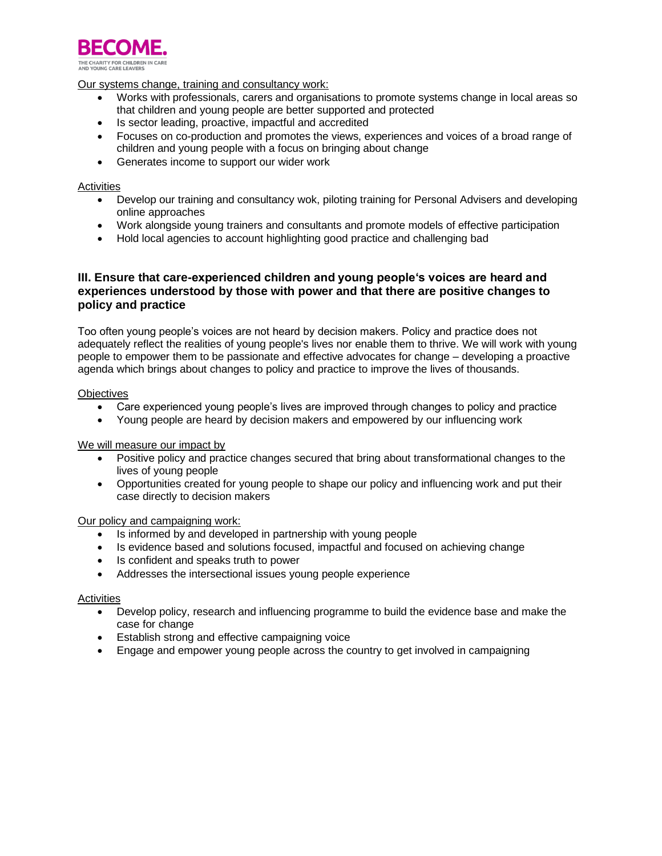

Our systems change, training and consultancy work:

- Works with professionals, carers and organisations to promote systems change in local areas so that children and young people are better supported and protected
- Is sector leading, proactive, impactful and accredited
- Focuses on co-production and promotes the views, experiences and voices of a broad range of children and young people with a focus on bringing about change
- Generates income to support our wider work

#### Activities

- Develop our training and consultancy wok, piloting training for Personal Advisers and developing online approaches
- Work alongside young trainers and consultants and promote models of effective participation
- Hold local agencies to account highlighting good practice and challenging bad

## **III. Ensure that care-experienced children and young people's voices are heard and experiences understood by those with power and that there are positive changes to policy and practice**

Too often young people's voices are not heard by decision makers. Policy and practice does not adequately reflect the realities of young people's lives nor enable them to thrive. We will work with young people to empower them to be passionate and effective advocates for change – developing a proactive agenda which brings about changes to policy and practice to improve the lives of thousands.

#### **Objectives**

- Care experienced young people's lives are improved through changes to policy and practice
- Young people are heard by decision makers and empowered by our influencing work

We will measure our impact by

- Positive policy and practice changes secured that bring about transformational changes to the lives of young people
- Opportunities created for young people to shape our policy and influencing work and put their case directly to decision makers

Our policy and campaigning work:

- Is informed by and developed in partnership with young people
- Is evidence based and solutions focused, impactful and focused on achieving change
- Is confident and speaks truth to power
- Addresses the intersectional issues young people experience

#### **Activities**

- Develop policy, research and influencing programme to build the evidence base and make the case for change
- Establish strong and effective campaigning voice
- Engage and empower young people across the country to get involved in campaigning